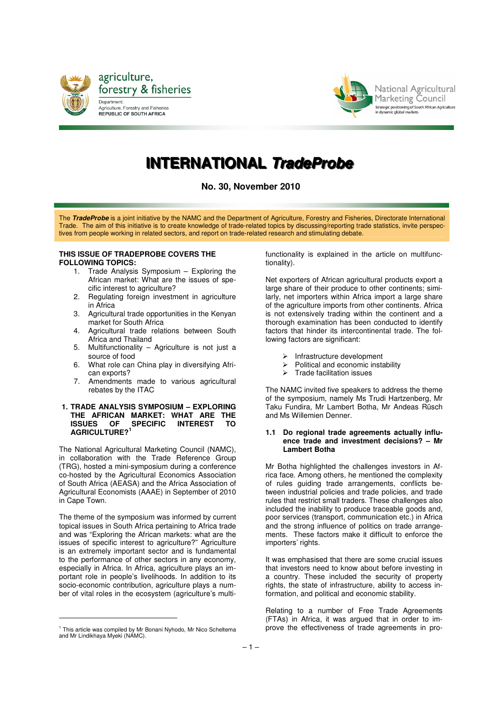



National Agricultural Marketing Council Strategic positioning of South African Agriculture<br>in dynamic global markets

# **IINTERNATIIONAL TradeProbe**

**No. 30, November 2010** 

The **TradeProbe** is a joint initiative by the NAMC and the Department of Agriculture, Forestry and Fisheries, Directorate International Trade. The aim of this initiative is to create knowledge of trade-related topics by discussing/reporting trade statistics, invite perspectives from people working in related sectors, and report on trade-related research and stimulating debate.

#### **THIS ISSUE OF TRADEPROBE COVERS THE FOLLOWING TOPICS:**

- Trade Analysis Symposium Exploring the African market: What are the issues of specific interest to agriculture?
- 2. Regulating foreign investment in agriculture in Africa
- 3. Agricultural trade opportunities in the Kenyan market for South Africa
- 4. Agricultural trade relations between South Africa and Thailand
- 5. Multifunctionality Agriculture is not just a source of food
- 6. What role can China play in diversifying African exports?
- 7. Amendments made to various agricultural rebates by the ITAC

# **1. TRADE ANALYSIS SYMPOSIUM – EXPLORING THE AFRICAN MARKET: WHAT ARE THE ISSUES OF SPECIFIC INTEREST TO AGRICULTURE?<sup>1</sup>**

The National Agricultural Marketing Council (NAMC), in collaboration with the Trade Reference Group (TRG), hosted a mini-symposium during a conference co-hosted by the Agricultural Economics Association of South Africa (AEASA) and the Africa Association of Agricultural Economists (AAAE) in September of 2010 in Cape Town.

The theme of the symposium was informed by current topical issues in South Africa pertaining to Africa trade and was "Exploring the African markets: what are the issues of specific interest to agriculture?" Agriculture is an extremely important sector and is fundamental to the performance of other sectors in any economy, especially in Africa. In Africa, agriculture plays an important role in people's livelihoods. In addition to its socio-economic contribution, agriculture plays a number of vital roles in the ecosystem (agriculture's multi-

 $\overline{a}$ 

functionality is explained in the article on multifunctionality).

Net exporters of African agricultural products export a large share of their produce to other continents; similarly, net importers within Africa import a large share of the agriculture imports from other continents. Africa is not extensively trading within the continent and a thorough examination has been conducted to identify factors that hinder its intercontinental trade. The following factors are significant:

- 
- $\triangleright$  Infrastructure development<br> $\triangleright$  Political and economic insta  $\triangleright$  Political and economic instability<br> $\triangleright$  Trade facilitation issues
- Trade facilitation issues

The NAMC invited five speakers to address the theme of the symposium, namely Ms Trudi Hartzenberg, Mr Taku Fundira, Mr Lambert Botha, Mr Andeas Rüsch and Ms Willemien Denner.

#### **1.1 Do regional trade agreements actually influence trade and investment decisions? – Mr Lambert Botha**

Mr Botha highlighted the challenges investors in Africa face. Among others, he mentioned the complexity of rules guiding trade arrangements, conflicts between industrial policies and trade policies, and trade rules that restrict small traders. These challenges also included the inability to produce traceable goods and, poor services (transport, communication etc.) in Africa and the strong influence of politics on trade arrangements. These factors make it difficult to enforce the importers' rights.

It was emphasised that there are some crucial issues that investors need to know about before investing in a country. These included the security of property rights, the state of infrastructure, ability to access information, and political and economic stability.

Relating to a number of Free Trade Agreements (FTAs) in Africa, it was argued that in order to improve the effectiveness of trade agreements in pro-

<sup>&</sup>lt;sup>1</sup> This article was compiled by Mr Bonani Nyhodo, Mr Nico Scheltema and Mr Lindikhaya Myeki (NAMC).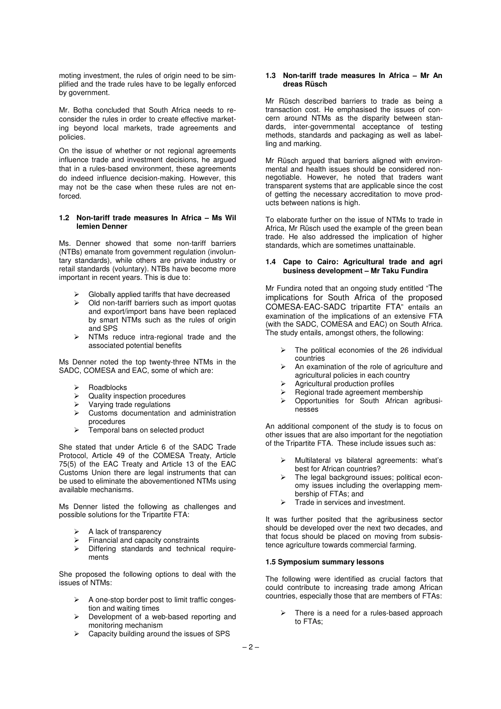moting investment, the rules of origin need to be simplified and the trade rules have to be legally enforced by government.

Mr. Botha concluded that South Africa needs to reconsider the rules in order to create effective marketing beyond local markets, trade agreements and policies.

On the issue of whether or not regional agreements influence trade and investment decisions, he argued that in a rules-based environment, these agreements do indeed influence decision-making. However, this may not be the case when these rules are not enforced.

#### **1.2 Non-tariff trade measures In Africa – Ms Wil lemien Denner**

Ms. Denner showed that some non-tariff barriers (NTBs) emanate from government regulation (involuntary standards), while others are private industry or retail standards (voluntary). NTBs have become more important in recent years. This is due to:

- Globally applied tariffs that have decreased
- Old non-tariff barriers such as import quotas and export/import bans have been replaced by smart NTMs such as the rules of origin and SPS
- $\triangleright$  NTMs reduce intra-regional trade and the associated potential benefits

Ms Denner noted the top twenty-three NTMs in the SADC, COMESA and EAC, some of which are:

- Roadblocks
- $\triangleright$  Quality inspection procedures
- $\triangleright$  Varying trade regulations
- $\triangleright$  Customs documentation and administration procedures
- $\triangleright$  Temporal bans on selected product

She stated that under Article 6 of the SADC Trade Protocol, Article 49 of the COMESA Treaty, Article 75(5) of the EAC Treaty and Article 13 of the EAC Customs Union there are legal instruments that can be used to eliminate the abovementioned NTMs using available mechanisms.

Ms Denner listed the following as challenges and possible solutions for the Tripartite FTA:

- A lack of transparency
- $\triangleright$  Financial and capacity constraints<br> $\triangleright$  Differing standards and technics
- Differing standards and technical requirements

She proposed the following options to deal with the issues of NTMs:

- $\triangleright$  A one-stop border post to limit traffic congestion and waiting times
- Development of a web-based reporting and monitoring mechanism
- $\triangleright$  Capacity building around the issues of SPS

#### **1.3 Non-tariff trade measures In Africa – Mr An dreas Rüsch**

Mr Rüsch described barriers to trade as being a transaction cost. He emphasised the issues of concern around NTMs as the disparity between standards, inter-governmental acceptance of testing methods, standards and packaging as well as labelling and marking.

Mr Rüsch argued that barriers aligned with environmental and health issues should be considered nonnegotiable. However, he noted that traders want transparent systems that are applicable since the cost of getting the necessary accreditation to move products between nations is high.

To elaborate further on the issue of NTMs to trade in Africa, Mr Rüsch used the example of the green bean trade. He also addressed the implication of higher standards, which are sometimes unattainable.

#### **1.4 Cape to Cairo: Agricultural trade and agri business development – Mr Taku Fundira**

Mr Fundira noted that an ongoing study entitled "The implications for South Africa of the proposed COMESA-EAC-SADC tripartite FTA" entails an examination of the implications of an extensive FTA (with the SADC, COMESA and EAC) on South Africa. The study entails, amongst others, the following:

- $\triangleright$  The political economies of the 26 individual countries
- $\triangleright$  An examination of the role of agriculture and agricultural policies in each country
- Agricultural production profiles
- $\geq$  Regional trade agreement membership
- Opportunities for South African agribusinesses

An additional component of the study is to focus on other issues that are also important for the negotiation of the Tripartite FTA. These include issues such as:

- Multilateral vs bilateral agreements: what's best for African countries?
- The legal background issues; political economy issues including the overlapping membership of FTAs; and
- Trade in services and investment.

It was further posited that the agribusiness sector should be developed over the next two decades, and that focus should be placed on moving from subsistence agriculture towards commercial farming.

## **1.5 Symposium summary lessons**

The following were identified as crucial factors that could contribute to increasing trade among African countries, especially those that are members of FTAs:

 There is a need for a rules-based approach to FTAs;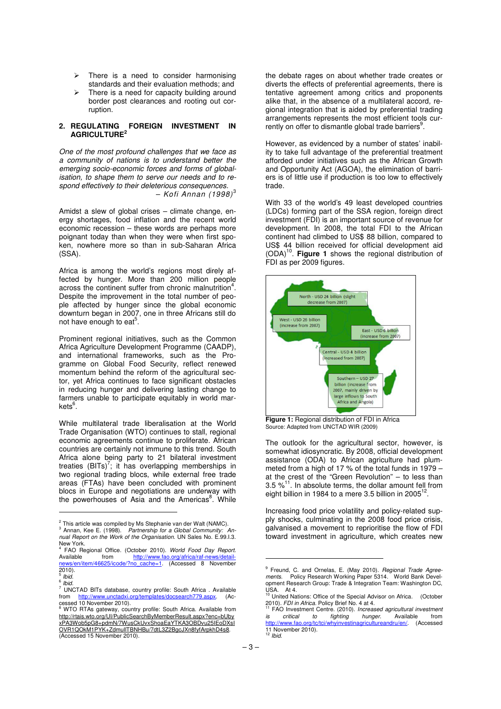- $\triangleright$  There is a need to consider harmonising standards and their evaluation methods; and
- $\triangleright$  There is a need for capacity building around border post clearances and rooting out corruption.

### **2. REGULATING FOREIGN INVESTMENT IN AGRICULTURE<sup>2</sup>**

One of the most profound challenges that we face as a community of nations is to understand better the emerging socio-economic forces and forms of globalisation, to shape them to serve our needs and to respond effectively to their deleterious consequences. – Kofi Annan  $(1998)^3$ 

Amidst a slew of global crises – climate change, energy shortages, food inflation and the recent world economic recession – these words are perhaps more poignant today than when they were when first spoken, nowhere more so than in sub-Saharan Africa (SSA).

Africa is among the world's regions most direly affected by hunger. More than 200 million people across the continent suffer from chronic malnutrition<sup>4</sup>. Despite the improvement in the total number of people affected by hunger since the global economic downturn began in 2007, one in three Africans still do not have enough to eat $5$ .

Prominent regional initiatives, such as the Common Africa Agriculture Development Programme (CAADP), and international frameworks, such as the Programme on Global Food Security, reflect renewed momentum behind the reform of the agricultural sector, yet Africa continues to face significant obstacles in reducing hunger and delivering lasting change to farmers unable to participate equitably in world markets<sup>6</sup>.

While multilateral trade liberalisation at the World Trade Organisation (WTO) continues to stall, regional economic agreements continue to proliferate. African countries are certainly not immune to this trend. South Africa alone being party to 21 bilateral investment treaties  $(BITs)^7$ ; it has overlapping memberships in two regional trading blocs, while external free trade areas (FTAs) have been concluded with prominent blocs in Europe and negotiations are underway with the powerhouses of Asia and the Americas<sup>8</sup>. While

l,

the debate rages on about whether trade creates or diverts the effects of preferential agreements, there is tentative agreement among critics and proponents alike that, in the absence of a multilateral accord, regional integration that is aided by preferential trading arrangements represents the most efficient tools currently on offer to dismantle global trade barriers<sup>9</sup>.

However, as evidenced by a number of states' inability to take full advantage of the preferential treatment afforded under initiatives such as the African Growth and Opportunity Act (AGOA), the elimination of barriers is of little use if production is too low to effectively trade.

With 33 of the world's 49 least developed countries (LDCs) forming part of the SSA region, foreign direct investment (FDI) is an important source of revenue for development. In 2008, the total FDI to the African continent had climbed to US\$ 88 billion, compared to US\$ 44 billion received for official development aid<br>(ODA)<sup>10</sup>. **Figure 1** shows the regional distribution of FDI as per 2009 figures.



**Figure 1:** Regional distribution of FDI in Africa Source: Adapted from UNCTAD WIR (2009)

The outlook for the agricultural sector, however, is somewhat idiosyncratic. By 2008, official development assistance (ODA) to African agriculture had plummeted from a high of 17 % of the total funds in 1979 – at the crest of the "Green Revolution" – to less than 3.5  $\frac{1}{2}$ <sup>11</sup>. In absolute terms, the dollar amount fell from eight billion in 1984 to a mere 3.5 billion in 2005 $^{12}$ .

Increasing food price volatility and policy-related supply shocks, culminating in the 2008 food price crisis, galvanised a movement to reprioritise the flow of FDI toward investment in agriculture, which creates new

 $2$  This article was compiled by Ms Stephanie van der Walt (NAMC).

<sup>&</sup>lt;sup>3</sup> Annan, Kee E. (1998). Partnership for a Global Community: Annual Report on the Work of the Organisation. UN Sales No. E.99.I.3. New York.<br><sup>4</sup> EAO Bo

<sup>&</sup>lt;sup>4</sup> FAO Regional Office. (October 2010). World Food Day Report.<br>Available from http://www.fao.org/africa/raf-news/detailhttp://www.fao.org/africa/raf-n news/en/item/46625/icode/?no\_cache=1. (Accessed 8 November 2010).<br><sup>5</sup> เมษ Ibid.

<sup>&</sup>lt;sup>6</sup> Ibid.<br><sup>7</sup> LINK

<sup>&</sup>lt;sup>7</sup> UNCTAD BITs database, country profile: South Africa . Available from http://www.unctadxi.org/templates/docsearch779.aspx (Achttp://www.unctadxi.org/templates/docsearch779.aspx. (Accessed 10 November 2010).<br><sup>8</sup> WTO BTAs seteway cour

WTO RTAs gateway, country profile: South Africa. Available from http://rtais.wto.org/UI/PublicSearchByMemberResult.aspx?enc=bUby xPA3Wob5pG8+pdmN/7WusCkUvxShoaEaYTKA3OBDvu25IEoDXsI OVR1QOkM1PYK+ZdmullTBNHBu/7dtL3Z2BgcJXn8fyfArpkhD4s8. (Accessed 15 November 2010).

<sup>&</sup>lt;sup>9</sup> Freund, C. and Ornelas, E. (May 2010). *Regional Trade Agree-<br>ments. Policy Research Working Paper 5314. World Bank Devel-<br>opment Research Group: Trade & Integration Team: Washington DC,* USA. At 4.<br><sup>10</sup> United Nations: Office of the Special Advisor on Africa. (October

<sup>2010).</sup> FDI in Africa. Policy Brief No. 4 at 4.

<sup>&</sup>lt;sup>11</sup> FAO Investment Centre. (2010). Increased agricultural investment is critical to fighting hunger. Available from<br>http://www.fao.org/tc/tci/whyinvestinagricultureandru/en/. (Accessed 11 November 2010).<br><sup>12</sup> Ibid.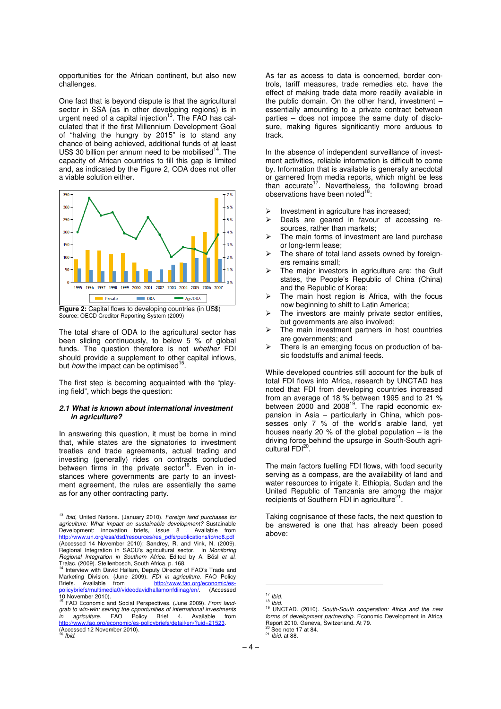opportunities for the African continent, but also new challenges.

One fact that is beyond dispute is that the agricultural sector in SSA (as in other developing regions) is in<br>urgent need of a capital injection<sup>13</sup>. The FAO has calculated that if the first Millennium Development Goal of "halving the hungry by 2015" is to stand any chance of being achieved, additional funds of at least US\$ 30 billion per annum need to be mobilised $14$ . The capacity of African countries to fill this gap is limited and, as indicated by the Figure 2, ODA does not offer a viable solution either.



**Figure 2:** Capital flows to developing countries (in US\$) Source: OECD Creditor Reporting System (2009)

The total share of ODA to the agricultural sector has been sliding continuously, to below 5 % of global funds. The question therefore is not whether FDI should provide a supplement to other capital inflows, but how the impact can be optimised<sup>15</sup> .

The first step is becoming acquainted with the "playing field", which begs the question:

#### **2.1 What is known about international investment in agriculture?**

In answering this question, it must be borne in mind that, while states are the signatories to investment treaties and trade agreements, actual trading and investing (generally) rides on contracts concluded<br>between firms in the private sector<sup>16</sup>. Even in instances where governments are party to an investment agreement, the rules are essentially the same as for any other contracting party.

<sup>13</sup> Ibid. United Nations. (January 2010). Foreign land purchases for agriculture: What impact on sustainable development? Sustainable Development: innovation briefs, issue 8 . Available from<br>http://www.un.org/esa/dsd/resources/res\_pdfs/publications/ib/no8.pdf (Accessed 14 November 2010); Sandrey, R. and Vink, N. (2009). Regional Integration in SACU's agricultural sector. In Monitoring Regional Integration in Southern Africa. Edited by A. Bösl et al.

 $\overline{a}$ 

Tralac. (2009). Stellenbosch, South Africa. p. 168. <sup>14</sup> Interview with David Hallam, Deputy Director of FAO's Trade and Marketing Division. (June 2009). *FDI in agriculture.* FAO Policy<br>Briefs. Available from ht<u>tp://www.fao.org/economic/es-</u> policybriefs/multimedia0/videodavidhallamonfdiinag/en/. (Accessed

As far as access to data is concerned, border controls, tariff measures, trade remedies etc. have the effect of making trade data more readily available in the public domain. On the other hand, investment – essentially amounting to a private contract between parties – does not impose the same duty of disclosure, making figures significantly more arduous to track.

In the absence of independent surveillance of investment activities, reliable information is difficult to come by. Information that is available is generally anecdotal or garnered from media reports, which might be less than accurate<sup>17</sup>. Nevertheless, the following broad observations have been noted<sup>1</sup>

- Investment in agriculture has increased;
- $\triangleright$  Deals are geared in favour of accessing resources, rather than markets;
- $\triangleright$  The main forms of investment are land purchase or long-term lease;
- The share of total land assets owned by foreigners remains small;
- The major investors in agriculture are: the Gulf states, the People's Republic of China (China) and the Republic of Korea;
- The main host region is Africa, with the focus now beginning to shift to Latin America;
- $\triangleright$  The investors are mainly private sector entities, but governments are also involved;
- The main investment partners in host countries are governments; and
- There is an emerging focus on production of basic foodstuffs and animal feeds.

While developed countries still account for the bulk of total FDI flows into Africa, research by UNCTAD has noted that FDI from developing countries increased from an average of 18 % between 1995 and to 21 %<br>between 2000 and 2008<sup>19</sup>. The rapid economic expansion in Asia – particularly in China, which possesses only 7 % of the world's arable land, yet houses nearly 20 % of the global population – is the driving force behind the upsurge in South-South agricultural FDI<sup>20</sup>.

The main factors fuelling FDI flows, with food security serving as a compass, are the availability of land and water resources to irrigate it. Ethiopia, Sudan and the United Republic of Tanzania are among the major recipients of Southern FDI in agriculture<sup>21</sup> .

Taking cognisance of these facts, the next question to be answered is one that has already been posed above:

 $\overline{a}$ 

 $21$  *Ibid.* at 88.

<sup>10</sup> November 2010).<br><sup>15</sup> FAO Economic and Social Perspectives. (June 2009). *From land*grab to win-win: seizing the opportunities of international investments<br>in agriculture FAO Policy Brief 4 Available from agriculture. FAO Policy Brief 4. Available from<br>n://www.fao.org/economic/es-policybriefs/detail/en/2uid=21523 http://www.fao.org/economic (Accessed 12 November 2010). <sup>16</sup> Ibid.

 $17$  Ibid.  $18$  *Ibid.* 

<sup>&</sup>lt;sup>19</sup> UNCTAD. (2010). South-South cooperation: Africa and the new forms of development partnership. Economic Development in Africa Report 2010. Geneva, Switzerland. At 79.  $See$  note 17 at 84.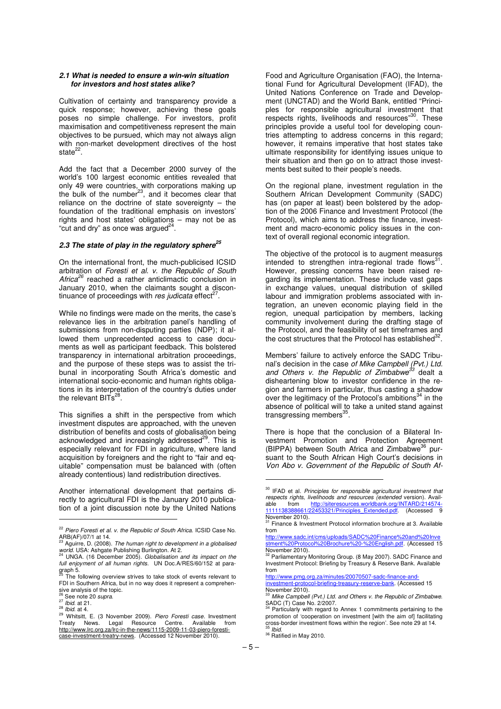#### **2.1 What is needed to ensure a win-win situation for investors and host states alike?**

Cultivation of certainty and transparency provide a quick response; however, achieving these goals poses no simple challenge. For investors, profit maximisation and competitiveness represent the main objectives to be pursued, which may not always align with non-market development directives of the host state $^{22}$ .

Add the fact that a December 2000 survey of the world's 100 largest economic entities revealed that only 49 were countries, with corporations making up<br>the bulk of the number<sup>23</sup>, and it becomes clear that reliance on the doctrine of state sovereignty – the foundation of the traditional emphasis on investors' rights and host states' obligations – may not be as "cut and dry" as once was argued $^{24}$ .

# **2.3 The state of play in the regulatory sphere<sup>25</sup>**

On the international front, the much-publicised ICSID arbitration of Foresti et al. v. the Republic of South Africa<sup>26</sup> reached a rather anticlimactic conclusion in January 2010, when the claimants sought a discontinuance of proceedings with res judicata effect<sup>2</sup> .

While no findings were made on the merits, the case's relevance lies in the arbitration panel's handling of submissions from non-disputing parties (NDP); it allowed them unprecedented access to case documents as well as participant feedback. This bolstered transparency in international arbitration proceedings, and the purpose of these steps was to assist the tribunal in incorporating South Africa's domestic and international socio-economic and human rights obligations in its interpretation of the country's duties under the relevant BITs $^{28}$ .

This signifies a shift in the perspective from which investment disputes are approached, with the uneven distribution of benefits and costs of globalisation being acknowledged and increasingly addressed<sup>29</sup>. This is especially relevant for FDI in agriculture, where land acquisition by foreigners and the right to "fair and equitable" compensation must be balanced with (often already contentious) land redistribution directives.

Another international development that pertains directly to agricultural FDI is the January 2010 publication of a joint discussion note by the United Nations  $\overline{a}$ 

Food and Agriculture Organisation (FAO), the International Fund for Agricultural Development (IFAD), the United Nations Conference on Trade and Development (UNCTAD) and the World Bank, entitled "Principles for responsible agricultural investment that<br>respects rights, livelihoods and resources"<sup>30</sup>. These principles provide a useful tool for developing countries attempting to address concerns in this regard; however, it remains imperative that host states take ultimate responsibility for identifying issues unique to their situation and then go on to attract those investments best suited to their people's needs.

On the regional plane, investment regulation in the Southern African Development Community (SADC) has (on paper at least) been bolstered by the adoption of the 2006 Finance and Investment Protocol (the Protocol), which aims to address the finance, investment and macro-economic policy issues in the context of overall regional economic integration.

The objective of the protocol is to augment measures intended to strengthen intra-regional trade flows<sup>31</sup>. However, pressing concerns have been raised regarding its implementation. These include vast gaps in exchange values, unequal distribution of skilled labour and immigration problems associated with integration, an uneven economic playing field in the region, unequal participation by members, lacking community involvement during the drafting stage of the Protocol, and the feasibility of set timeframes and the cost structures that the Protocol has established $^{32}$ .

Members' failure to actively enforce the SADC Tribunal's decision in the case *of Mike Campbell (Pvt.) Ltd.*<br>*and Others v. the Republic of Zimbabwe<sup>33</sup> d*ealt a disheartening blow to investor confidence in the region and farmers in particular, thus casting a shadow over the legitimacy of the Protocol's ambitions $34$  in the absence of political will to take a united stand against transgressing members<sup>35</sup>.

There is hope that the conclusion of a Bilateral Investment Promotion and Protection Agreement (BIPPA) between South Africa and Zimbabwe<sup>36</sup> pursuant to the South African High Court's decisions in Von Abo v. Government of the Republic of South Af-

http://www.pmg.org.za/minutes/20070507-sadc-financ investment-protocol-briefing-treasury-reserve-bank. (Accessed 15

ׇ֧֬

 $22$  Piero Foresti et al. v. the Republic of South Africa. ICSID Case No. ARB(AF)/07/1 at 14.

Aguirre, D. (2008). The human right to development in a globalised world. USA: Ashgate Publishing Burlington. At 2.<br><sup>24</sup> UNGA. (16 December 2005). *Globalisation and its impact on the* 

full enjoyment of all human rights. UN Doc.A/RES/60/152 at paragraph 5.<br><sup>25</sup> The following overview strives to take stock of events relevant to

FDI in Southern Africa, but in no way does it represent a comprehensive analysis of the topic.

<sup>26</sup> See note 20 supra.

 $27$  *Ibid.* at 21.

 $^{28}$  *Ibid.* at 4.

<sup>29</sup> Whitsitt, E. (3 November 2009). Piero Foresti case. Investment Treaty News. Legal Resource Centre. Available from http://www.lrc.org.za/lrc-in-the-news/1115-2009-11-03-piero-forestiase-investment-treatry-news. (Accessed 12 November 2010).

 $30$  IFAD et al. Principles for responsible agricultural investment that respects rights, livelihoods and resources (extended version). Available from http://siteresources.worldbank.org/INTARD/214574<br>1111138388661/22453321/Principles Extended.pdf. (Accessed 122453321/Principles\_Extended.pdf. November 2010).

<sup>31</sup> Finance & Investment Protocol information brochure at 3. Available from

http://www.sadc.int/cms/uploads/SADC%20Finance%20and%20Inve stment%20Protocol%20Brochure%20-%20English.pdf. (Accessed 15

November 2010).<br><sup>32</sup> Parliamentary Monitoring Group. (8 May 2007). SADC Finance and<br>Investment Protocol: Briefing by Treasury & Reserve Bank. Available from

November 2010). <sup>33</sup> Mike Campbell (Pvt.) Ltd. and Others v. the Republic of Zimbabwe.<br>SADC (T) Case No. 2/2007.

Particularly with regard to Annex 1 commitments pertaining to the promotion of 'cooperation on investment [with the aim of] facilitating cross-border investment flows within the region'. See note 29 at 14. **Ibid.** 

<sup>&</sup>lt;sup>36</sup> Ratified in May 2010.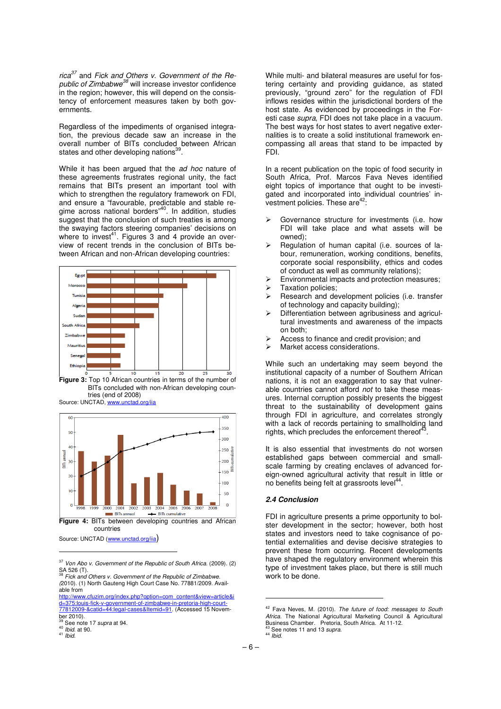rica $37$  and Fick and Others v. Government of the Republic of Zimbabwe<sup>38</sup> will increase investor confidence in the region; however, this will depend on the consistency of enforcement measures taken by both governments.

Regardless of the impediments of organised integration, the previous decade saw an increase in the overall number of BITs concluded between African states and other developing nations<sup>39</sup>.

While it has been argued that the ad hoc nature of these agreements frustrates regional unity, the fact remains that BITs present an important tool with which to strengthen the regulatory framework on FDI, and ensure a "favourable, predictable and stable regime across national borders"<sup>40</sup>. In addition, studies suggest that the conclusion of such treaties is among the swaying factors steering companies' decisions on<br>where to invest<sup>41</sup>. Figures 3 and 4 provide an overview of recent trends in the conclusion of BITs between African and non-African developing countries:



Figure 3: Top 10 African countries in terms of the number of BITs concluded with non-African developing countries (end of 2008) Source: UNCTAD, www.unctad.



Figure 4: BITs between developing countries and African countries

Source: UNCTAD (www.unctad.org/iia)

 $\overline{a}$ 

While multi- and bilateral measures are useful for fostering certainty and providing guidance, as stated previously, "ground zero" for the regulation of FDI inflows resides within the jurisdictional borders of the host state. As evidenced by proceedings in the Foresti case supra, FDI does not take place in a vacuum. The best ways for host states to avert negative externalities is to create a solid institutional framework encompassing all areas that stand to be impacted by FDI.

In a recent publication on the topic of food security in South Africa, Prof. Marcos Fava Neves identified eight topics of importance that ought to be investigated and incorporated into individual countries' investment policies. These are<sup>42</sup>:

- Governance structure for investments (i.e. how FDI will take place and what assets will be owned);
- Regulation of human capital (i.e. sources of labour, remuneration, working conditions, benefits, corporate social responsibility, ethics and codes of conduct as well as community relations);
- Environmental impacts and protection measures;
- $\triangleright$  Taxation policies;<br> $\triangleright$  Research and de
- Research and development policies (i.e. transfer of technology and capacity building);
- Differentiation between agribusiness and agricultural investments and awareness of the impacts on both;
- Access to finance and credit provision; and
- > Market access considerations.

While such an undertaking may seem beyond the institutional capacity of a number of Southern African nations, it is not an exaggeration to say that vulnerable countries cannot afford not to take these measures. Internal corruption possibly presents the biggest threat to the sustainability of development gains through FDI in agriculture, and correlates strongly with a lack of records pertaining to smallholding land rights, which precludes the enforcement thereof .

It is also essential that investments do not worsen established gaps between commercial and smallscale farming by creating enclaves of advanced foreign-owned agricultural activity that result in little or no benefits being felt at grassroots level<sup>44</sup>.

# **2.4 Conclusion**

FDI in agriculture presents a prime opportunity to bolster development in the sector; however, both host states and investors need to take cognisance of potential externalities and devise decisive strategies to prevent these from occurring. Recent developments have shaped the regulatory environment wherein this type of investment takes place, but there is still much work to be done.

<sup>37</sup> Von Abo v. Government of the Republic of South Africa. (2009). (2) SA 526 (T).<br><sup>38</sup> Fick and Others v. Government of the Republic of Zimbabwe.

<sup>(</sup>2010). (1) North Gauteng High Court Case No. 77881/2009. Available from

http://www.cfuzim.org/index.php?option=com\_content&view=article&i d=375:louis-fick-v-government-of-zimbabwe-in-pretoria-high-court-77812009-&catid=44:legal-cases&Itemid=91. (Accessed 15 November 2010).

See note 17 supra at 94.

 $40$  *Ibid.* at 90.

 $41$  *lbid.* 

 $42$  Fava Neves, M. (2010). The future of food: messages to South Africa. The National Agricultural Marketing Council & Agricultural Business Chamber. Pretoria, South Africa. At 11-12.<br><sup>43</sup> See notes 11 and 13 *supra.* 

 $44$  *Ibid.*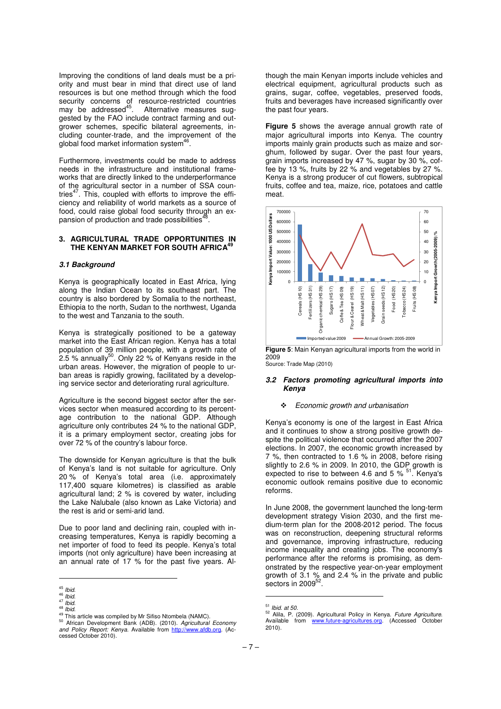Improving the conditions of land deals must be a priority and must bear in mind that direct use of land resources is but one method through which the food security concerns of resource-restricted countries<br>may be addressed<sup>45</sup>. Alternative measures suggested by the FAO include contract farming and outgrower schemes, specific bilateral agreements, including counter-trade, and the improvement of the global food market information system<sup>46</sup>.

Furthermore, investments could be made to address needs in the infrastructure and institutional frameworks that are directly linked to the underperformance of the agricultural sector in a number of SSA countries<sup>47</sup>. This, coupled with efforts to improve the efficiency and reliability of world markets as a source of food, could raise global food security through an expansion of production and trade possibilities<sup>48</sup> .

#### **3. AGRICULTURAL TRADE OPPORTUNITIES IN THE KENYAN MARKET FOR SOUTH AFRICA<sup>49</sup>**

#### **3.1 Background**

Kenya is geographically located in East Africa, lying along the Indian Ocean to its southeast part. The country is also bordered by Somalia to the northeast, Ethiopia to the north, Sudan to the northwest, Uganda to the west and Tanzania to the south.

Kenya is strategically positioned to be a gateway market into the East African region. Kenya has a total population of 39 million people, with a growth rate of<br>2.5 % annually<sup>50</sup>. Only 22 % of Kenyans reside in the urban areas. However, the migration of people to urban areas is rapidly growing, facilitated by a developing service sector and deteriorating rural agriculture.

Agriculture is the second biggest sector after the services sector when measured according to its percentage contribution to the national GDP. Although agriculture only contributes 24 % to the national GDP, it is a primary employment sector, creating jobs for over 72 % of the country's labour force.

The downside for Kenyan agriculture is that the bulk of Kenya's land is not suitable for agriculture. Only 20 % of Kenya's total area (i.e. approximately 117,400 square kilometres) is classified as arable agricultural land; 2 % is covered by water, including the Lake Nalubale (also known as Lake Victoria) and the rest is arid or semi-arid land.

Due to poor land and declining rain, coupled with increasing temperatures, Kenya is rapidly becoming a net importer of food to feed its people. Kenya's total imports (not only agriculture) have been increasing at an annual rate of 17 % for the past five years. Al-

l,

though the main Kenyan imports include vehicles and electrical equipment, agricultural products such as grains, sugar, coffee, vegetables, preserved foods, fruits and beverages have increased significantly over the past four years.

**Figure 5** shows the average annual growth rate of major agricultural imports into Kenya. The country imports mainly grain products such as maize and sorghum, followed by sugar. Over the past four years, grain imports increased by 47 %, sugar by 30 %, coffee by 13 %, fruits by 22 % and vegetables by 27 %. Kenya is a strong producer of cut flowers, subtropical fruits, coffee and tea, maize, rice, potatoes and cattle meat.





Source: Trade Map (2010)

#### **3.2 Factors promoting agricultural imports into Kenya**

#### $\ddot{\phantom{a}}$ Economic growth and urbanisation

Kenya's economy is one of the largest in East Africa and it continues to show a strong positive growth despite the political violence that occurred after the 2007 elections. In 2007, the economic growth increased by 7 %, then contracted to 1.6 % in 2008, before rising slightly to 2.6 % in 2009. In 2010, the GDP growth is<br>expected to rise to between 4.6 and 5 % <sup>51</sup>. Kenya's economic outlook remains positive due to economic reforms.

In June 2008, the government launched the long-term development strategy Vision 2030, and the first medium-term plan for the 2008-2012 period. The focus was on reconstruction, deepening structural reforms and governance, improving infrastructure, reducing income inequality and creating jobs. The economy's performance after the reforms is promising, as demonstrated by the respective year-on-year employment growth of 3.1 % and 2.4 % in the private and public sectors in 2009 $52$ .

 $45$  Ibid.

 $46$  *Ibid.*  $47$  lbid.

 $48$  *lbid.* 

<sup>49</sup> This article was compiled by Mr Sifiso Ntombela (NAMC)

<sup>&</sup>lt;sup>50</sup> African Development Bank (ADB). (2010). Agricultural Economy<br>and Policy Report: Kenya. Available from http://www.afdb.org. (Accessed October 2010).

 $51$  Ibid. at 50.

<sup>52</sup> Alila, P. (2009). Agricultural Policy in Kenya. Future Agriculture. Available from www.future-agricultures.org. (Accessed October 2010).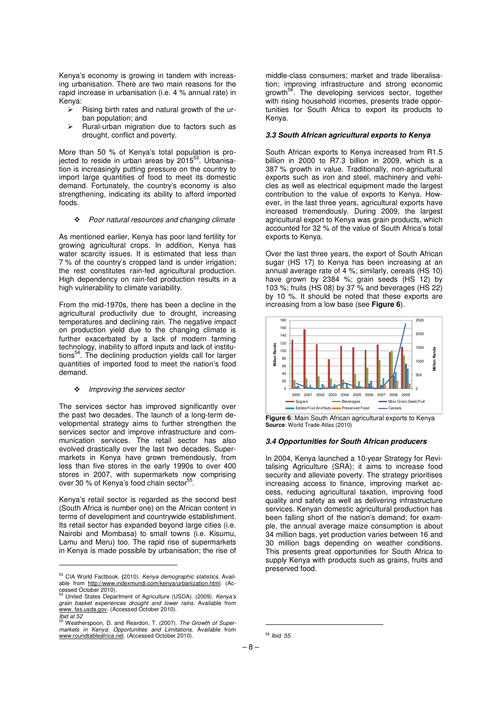Kenya's economy is growing in tandem with increasing urbanisation. There are two main reasons for the rapid increase in urbanisation (i.e. 4 % annual rate) in Kenya:

- $\triangleright$  Rising birth rates and natural growth of the urban population; and
- $\triangleright$  Rural-urban migration due to factors such as drought, conflict and poverty.

More than 50 % of Kenya's total population is pro-<br>jected to reside in urban areas by 2015<sup>53</sup>. Urbanisation is increasingly putting pressure on the country to import large quantities of food to meet its domestic demand. Fortunately, the country's economy is also strengthening, indicating its ability to afford imported foods.

- Poor natural resources and changing climate

As mentioned earlier, Kenya has poor land fertility for growing agricultural crops. In addition, Kenya has water scarcity issues. It is estimated that less than 7 % of the country's cropped land is under irrigation; the rest constitutes rain-fed agricultural production. High dependency on rain-fed production results in a high vulnerability to climate variability.

From the mid-1970s, there has been a decline in the agricultural productivity due to drought, increasing temperatures and declining rain. The negative impact on production yield due to the changing climate is further exacerbated by a lack of modern farming technology, inability to afford inputs and lack of institutions<sup>54</sup>. The declining production yields call for larger quantities of imported food to meet the nation's food demand.

\* Improving the services sector

The services sector has improved significantly over the past two decades. The launch of a long-term developmental strategy aims to further strengthen the services sector and improve infrastructure and communication services. The retail sector has also evolved drastically over the last two decades. Supermarkets in Kenya have grown tremendously, from less than five stores in the early 1990s to over 400 stores in 2007, with supermarkets now comprising over 30 % of Kenya's food chain sector<sup>55</sup>.

Kenya's retail sector is regarded as the second best (South Africa is number one) on the African content in terms of development and countrywide establishment. Its retail sector has expanded beyond large cities (i.e. Nairobi and Mombasa) to small towns (i.e. Kisumu, Lamu and Meru) too. The rapid rise of supermarkets in Kenya is made possible by urbanisation; the rise of

 $\overline{a}$ 

middle-class consumers; market and trade liberalisation; improving infrastructure and strong economic growth<sup>56</sup>. The developing services sector, together with rising household incomes, presents trade opportunities for South Africa to export its products to Kenya.

# **3.3 South African agricultural exports to Kenya**

South African exports to Kenya increased from R1.5 billion in 2000 to R7.3 billion in 2009, which is a 387 % growth in value. Traditionally, non-agricultural exports such as iron and steel, machinery and vehicles as well as electrical equipment made the largest contribution to the value of exports to Kenya. However, in the last three years, agricultural exports have increased tremendously. During 2009, the largest agricultural export to Kenya was grain products, which accounted for 32 % of the value of South Africa's total exports to Kenya.

Over the last three years, the export of South African sugar (HS 17) to Kenya has been increasing at an annual average rate of 4 %; similarly, cereals (HS 10) have grown by 2384 %; grain seeds (HS 12) by 103 %; fruits (HS 08) by 37 % and beverages (HS 22) by 10 %. It should be noted that these exports are increasing from a low base (see **Figure 6**).



**Figure 6**: Main South African agricultural exports to Kenya **Source**: World Trade Atlas (2010)

#### **3.4 Opportunities for South African producers**

In 2004, Kenya launched a 10-year Strategy for Revitalising Agriculture (SRA); it aims to increase food security and alleviate poverty. The strategy prioritises increasing access to finance, improving market access, reducing agricultural taxation, improving food quality and safety as well as delivering infrastructure services. Kenyan domestic agricultural production has been falling short of the nation's demand; for example, the annual average maize consumption is about 34 million bags, yet production varies between 16 and 30 million bags depending on weather conditions. This presents great opportunities for South Africa to supply Kenya with products such as grains, fruits and preserved food.

<sup>53</sup> CIA World Factbook. **(**2010). Kenya demographic statistics. Available from http://www.indexmundi.com/kenya/urbanization.html. (Accessed October 2010).

United States Department of Agriculture (USDA). (2009). Kenya's grain basket experiences drought and lower rains. Available from www. fas.usda.gov. (Accessed October 2010).

Ibid at  $52 \div 52$  $\frac{1}{5}$  Weatherspoon, D. and Reardon, T. (2007). The Growth of Supermarkets in Kenya: Opportunities and Limitations. Available from www.roundtableafrica.net. (Accessed October 2010).

<sup>56</sup> Ibid. 55.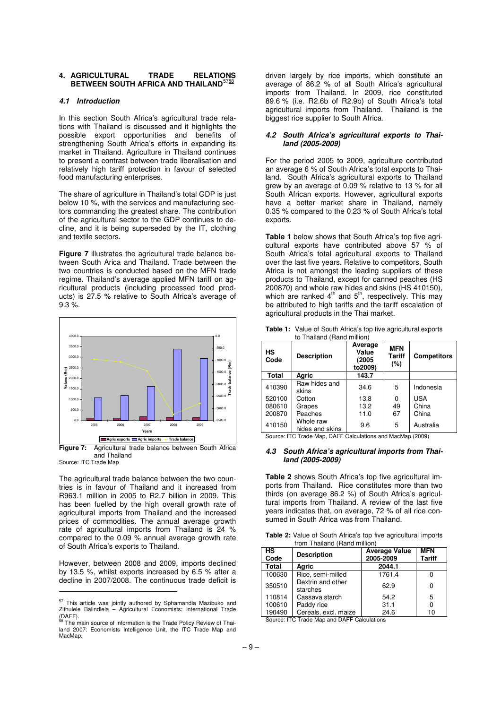#### **4. AGRICULTURAL TRADE RELATIONS BETWEEN SOUTH AFRICA AND THAILAND**<sup>5758</sup>

#### **4.1 Introduction**

In this section South Africa's agricultural trade relations with Thailand is discussed and it highlights the possible export opportunities and benefits of strengthening South Africa's efforts in expanding its market in Thailand. Agriculture in Thailand continues to present a contrast between trade liberalisation and relatively high tariff protection in favour of selected food manufacturing enterprises.

The share of agriculture in Thailand's total GDP is just below 10 %, with the services and manufacturing sectors commanding the greatest share. The contribution of the agricultural sector to the GDP continues to decline, and it is being superseded by the IT, clothing and textile sectors.

**Figure 7** illustrates the agricultural trade balance between South Arica and Thailand. Trade between the two countries is conducted based on the MFN trade regime. Thailand's average applied MFN tariff on agricultural products (including processed food products) is 27.5 % relative to South Africa's average of 9.3 %.



and Thailand Source: ITC Trade Map

The agricultural trade balance between the two countries is in favour of Thailand and it increased from R963.1 million in 2005 to R2.7 billion in 2009. This has been fuelled by the high overall growth rate of agricultural imports from Thailand and the increased prices of commodities. The annual average growth rate of agricultural imports from Thailand is 24 % compared to the 0.09 % annual average growth rate of South Africa's exports to Thailand.

However, between 2008 and 2009, imports declined by 13.5 %, whilst exports increased by 6.5 % after a decline in 2007/2008. The continuous trade deficit is

 $\overline{a}$ 

driven largely by rice imports, which constitute an average of 86.2 % of all South Africa's agricultural imports from Thailand. In 2009, rice constituted 89.6 % (i.e. R2.6b of R2.9b) of South Africa's total agricultural imports from Thailand. Thailand is the biggest rice supplier to South Africa.

#### **4.2 South Africa's agricultural exports to Thailand (2005-2009)**

For the period 2005 to 2009, agriculture contributed an average 6 % of South Africa's total exports to Thailand. South Africa's agricultural exports to Thailand grew by an average of 0.09 % relative to 13 % for all South African exports. However, agricultural exports have a better market share in Thailand, namely 0.35 % compared to the 0.23 % of South Africa's total exports.

**Table 1** below shows that South Africa's top five agricultural exports have contributed above 57 % of South Africa's total agricultural exports to Thailand over the last five years. Relative to competitors, South Africa is not amongst the leading suppliers of these products to Thailand, except for canned peaches (HS 200870) and whole raw hides and skins (HS 410150),<br>which are ranked 4<sup>th</sup> and 5<sup>th</sup>, respectively. This may be attributed to high tariffs and the tariff escalation of agricultural products in the Thai market.

| НS<br>Code   | <b>Description</b>           | Average<br>Value<br>(2005<br>to2009) | <b>MFN</b><br>Tariff<br>(%) | <b>Competitors</b> |  |
|--------------|------------------------------|--------------------------------------|-----------------------------|--------------------|--|
| <b>Total</b> | Agric                        | 143.7                                |                             |                    |  |
| 410390       | Raw hides and<br>skins       | 34.6                                 | 5                           | Indonesia          |  |
| 520100       | Cotton                       | 13.8                                 | 0                           | <b>USA</b>         |  |
| 080610       | Grapes                       | 13.2                                 | 49                          | China              |  |
| 200870       | Peaches                      | 11.0                                 | 67                          | China              |  |
| 410150       | Whole raw<br>hides and skins | 9.6                                  | 5                           | Australia          |  |

**Table 1:** Value of South Africa's top five agricultural exports to Thailand (Rand million)

Source: ITC Trade Map, DAFF Calculations and MacMap (2009)

#### **4.3 South Africa's agricultural imports from Thailand (2005-2009)**

**Table 2** shows South Africa's top five agricultural imports from Thailand. Rice constitutes more than two thirds (on average 86.2 %) of South Africa's agricultural imports from Thailand. A review of the last five years indicates that, on average, 72 % of all rice consumed in South Africa was from Thailand.

**Table 2:** Value of South Africa's top five agricultural imports from Thailand (Rand million)

| нs<br>Code | <b>Description</b>            | <b>Average Value</b><br>2005-2009 | <b>MFN</b><br><b>Tariff</b> |
|------------|-------------------------------|-----------------------------------|-----------------------------|
| Total      | Agric                         | 2044.1                            |                             |
| 100630     | Rice, semi-milled             | 1761.4                            |                             |
| 350510     | Dextrin and other<br>starches | 62.9                              | U                           |
| 110814     | Cassava starch                | 54.2                              | 5                           |
| 100610     | Paddy rice                    | 31.1                              |                             |
| 190490     | Cereals, excl. maize          | 24.6                              | 10                          |

Source: ITC Trade Map and DAFF Calculations

<sup>&</sup>lt;sup>57</sup> This article was jointly authored by Sphamandla Mazibuko and Zithulele Balindlela – Agricultural Economists: International Trade  $(DAFF)$ .

The main source of information is the Trade Policy Review of Thailand 2007: Economists Intelligence Unit, the ITC Trade Map and MacMap.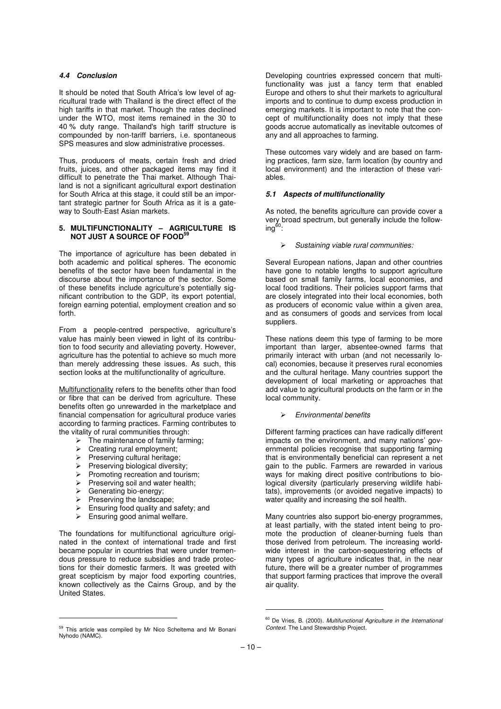#### **4.4 Conclusion**

It should be noted that South Africa's low level of agricultural trade with Thailand is the direct effect of the high tariffs in that market. Though the rates declined under the WTO, most items remained in the 30 to 40 % duty range. Thailand's high tariff structure is compounded by non-tariff barriers, i.e. spontaneous SPS measures and slow administrative processes.

Thus, producers of meats, certain fresh and dried fruits, juices, and other packaged items may find it difficult to penetrate the Thai market. Although Thailand is not a significant agricultural export destination for South Africa at this stage, it could still be an important strategic partner for South Africa as it is a gateway to South-East Asian markets.

#### **5. MULTIFUNCTIONALITY – AGRICULTURE IS NOT JUST A SOURCE OF FOOD<sup>59</sup>**

The importance of agriculture has been debated in both academic and political spheres. The economic benefits of the sector have been fundamental in the discourse about the importance of the sector. Some of these benefits include agriculture's potentially significant contribution to the GDP, its export potential, foreign earning potential, employment creation and so forth.

From a people-centred perspective, agriculture's value has mainly been viewed in light of its contribution to food security and alleviating poverty. However, agriculture has the potential to achieve so much more than merely addressing these issues. As such, this section looks at the multifunctionality of agriculture.

Multifunctionality refers to the benefits other than food or fibre that can be derived from agriculture. These benefits often go unrewarded in the marketplace and financial compensation for agricultural produce varies according to farming practices. Farming contributes to the vitality of rural communities through:

- $\triangleright$  The maintenance of family farming;
- $\triangleright$  Creating rural employment;
- $\triangleright$  Preserving cultural heritage;
- $\triangleright$  Preserving biological diversity;
- $\triangleright$  Promoting recreation and tourism;
- $\triangleright$  Preserving soil and water health;<br>  $\triangleright$  Generating bio-energy:
- Generating bio-energy;

 $\overline{a}$ 

- $\triangleright$  Preserving the landscape;
- Ensuring food quality and safety; and
- $\triangleright$  Ensuring good animal welfare.

The foundations for multifunctional agriculture originated in the context of international trade and first became popular in countries that were under tremendous pressure to reduce subsidies and trade protections for their domestic farmers. It was greeted with great scepticism by major food exporting countries, known collectively as the Cairns Group, and by the United States.

Developing countries expressed concern that multifunctionality was just a fancy term that enabled Europe and others to shut their markets to agricultural imports and to continue to dump excess production in emerging markets. It is important to note that the concept of multifunctionality does not imply that these goods accrue automatically as inevitable outcomes of any and all approaches to farming.

These outcomes vary widely and are based on farming practices, farm size, farm location (by country and local environment) and the interaction of these variables.

#### **5.1 Aspects of multifunctionality**

As noted, the benefits agriculture can provide cover a very broad spectrum, but generally include the follow $ing<sup>60</sup>$ :

Sustaining viable rural communities:

Several European nations, Japan and other countries have gone to notable lengths to support agriculture based on small family farms, local economies, and local food traditions. Their policies support farms that are closely integrated into their local economies, both as producers of economic value within a given area, and as consumers of goods and services from local suppliers.

These nations deem this type of farming to be more important than larger, absentee-owned farms that primarily interact with urban (and not necessarily local) economies, because it preserves rural economies and the cultural heritage. Many countries support the development of local marketing or approaches that add value to agricultural products on the farm or in the local community.

#### Environmental benefits

Different farming practices can have radically different impacts on the environment, and many nations' governmental policies recognise that supporting farming that is environmentally beneficial can represent a net gain to the public. Farmers are rewarded in various ways for making direct positive contributions to biological diversity (particularly preserving wildlife habitats), improvements (or avoided negative impacts) to water quality and increasing the soil health.

Many countries also support bio-energy programmes, at least partially, with the stated intent being to promote the production of cleaner-burning fuels than those derived from petroleum. The increasing worldwide interest in the carbon-sequestering effects of many types of agriculture indicates that, in the near future, there will be a greater number of programmes that support farming practices that improve the overall air quality.

<sup>59</sup> This article was compiled by Mr Nico Scheltema and Mr Bonani Nyhodo (NAMC).

 $60$  De Vries, B. (2000). Multifunctional Agriculture in the International Context. The Land Stewardship Project.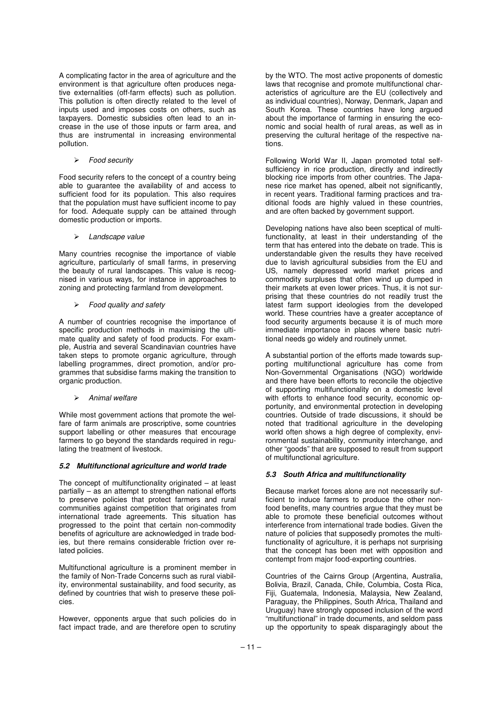A complicating factor in the area of agriculture and the environment is that agriculture often produces negative externalities (off-farm effects) such as pollution. This pollution is often directly related to the level of inputs used and imposes costs on others, such as taxpayers. Domestic subsidies often lead to an increase in the use of those inputs or farm area, and thus are instrumental in increasing environmental pollution.

Food security

Food security refers to the concept of a country being able to guarantee the availability of and access to sufficient food for its population. This also requires that the population must have sufficient income to pay for food. Adequate supply can be attained through domestic production or imports.

 $\triangleright$  Landscape value

Many countries recognise the importance of viable agriculture, particularly of small farms, in preserving the beauty of rural landscapes. This value is recognised in various ways, for instance in approaches to zoning and protecting farmland from development.

 $\triangleright$  Food quality and safety

A number of countries recognise the importance of specific production methods in maximising the ultimate quality and safety of food products. For example, Austria and several Scandinavian countries have taken steps to promote organic agriculture, through labelling programmes, direct promotion, and/or programmes that subsidise farms making the transition to organic production.

 $\triangleright$  Animal welfare

While most government actions that promote the welfare of farm animals are proscriptive, some countries support labelling or other measures that encourage farmers to go beyond the standards required in regulating the treatment of livestock.

#### **5.2 Multifunctional agriculture and world trade**

The concept of multifunctionality originated – at least partially – as an attempt to strengthen national efforts to preserve policies that protect farmers and rural communities against competition that originates from international trade agreements. This situation has progressed to the point that certain non-commodity benefits of agriculture are acknowledged in trade bodies, but there remains considerable friction over related policies.

Multifunctional agriculture is a prominent member in the family of Non-Trade Concerns such as rural viability, environmental sustainability, and food security, as defined by countries that wish to preserve these policies.

However, opponents argue that such policies do in fact impact trade, and are therefore open to scrutiny

by the WTO. The most active proponents of domestic laws that recognise and promote multifunctional characteristics of agriculture are the EU (collectively and as individual countries), Norway, Denmark, Japan and South Korea. These countries have long argued about the importance of farming in ensuring the economic and social health of rural areas, as well as in preserving the cultural heritage of the respective nations.

Following World War II, Japan promoted total selfsufficiency in rice production, directly and indirectly blocking rice imports from other countries. The Japanese rice market has opened, albeit not significantly, in recent years. Traditional farming practices and traditional foods are highly valued in these countries, and are often backed by government support.

Developing nations have also been sceptical of multifunctionality, at least in their understanding of the term that has entered into the debate on trade. This is understandable given the results they have received due to lavish agricultural subsidies from the EU and US, namely depressed world market prices and commodity surpluses that often wind up dumped in their markets at even lower prices. Thus, it is not surprising that these countries do not readily trust the latest farm support ideologies from the developed world. These countries have a greater acceptance of food security arguments because it is of much more immediate importance in places where basic nutritional needs go widely and routinely unmet.

A substantial portion of the efforts made towards supporting multifunctional agriculture has come from Non-Governmental Organisations (NGO) worldwide and there have been efforts to reconcile the objective of supporting multifunctionality on a domestic level with efforts to enhance food security, economic opportunity, and environmental protection in developing countries. Outside of trade discussions, it should be noted that traditional agriculture in the developing world often shows a high degree of complexity, environmental sustainability, community interchange, and other "goods" that are supposed to result from support of multifunctional agriculture.

#### **5.3 South Africa and multifunctionality**

Because market forces alone are not necessarily sufficient to induce farmers to produce the other nonfood benefits, many countries argue that they must be able to promote these beneficial outcomes without interference from international trade bodies. Given the nature of policies that supposedly promotes the multifunctionality of agriculture, it is perhaps not surprising that the concept has been met with opposition and contempt from major food-exporting countries.

Countries of the Cairns Group (Argentina, Australia, Bolivia, Brazil, Canada, Chile, Columbia, Costa Rica, Fiji, Guatemala, Indonesia, Malaysia, New Zealand, Paraguay, the Philippines, South Africa, Thailand and Uruguay) have strongly opposed inclusion of the word "multifunctional" in trade documents, and seldom pass up the opportunity to speak disparagingly about the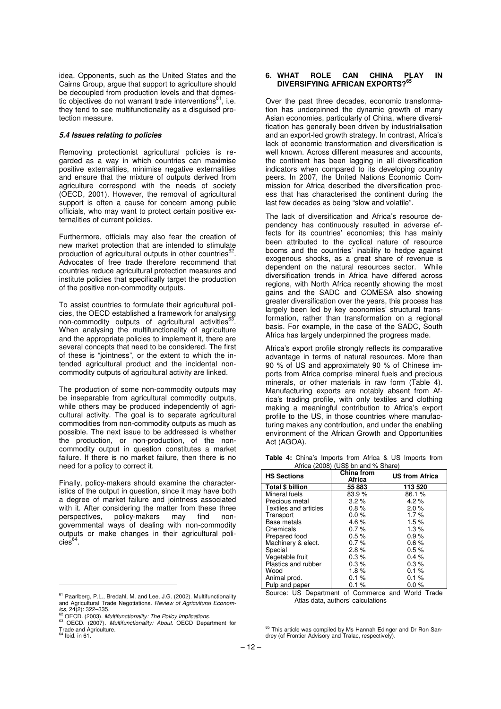idea. Opponents, such as the United States and the Cairns Group, argue that support to agriculture should be decoupled from production levels and that domestic objectives do not warrant trade interventions $<sup>61</sup>$ , i.e.</sup> they tend to see multifunctionality as a disguised protection measure.

#### **5.4 Issues relating to policies**

Removing protectionist agricultural policies is regarded as a way in which countries can maximise positive externalities, minimise negative externalities and ensure that the mixture of outputs derived from agriculture correspond with the needs of society (OECD, 2001). However, the removal of agricultural support is often a cause for concern among public officials, who may want to protect certain positive externalities of current policies.

Furthermore, officials may also fear the creation of new market protection that are intended to stimulate production of agricultural outputs in other countries<sup>6</sup> . Advocates of free trade therefore recommend that countries reduce agricultural protection measures and institute policies that specifically target the production of the positive non-commodity outputs.

To assist countries to formulate their agricultural policies, the OECD established a framework for analysing non-commodity outputs of agricultural activities<sup>6</sup> . When analysing the multifunctionality of agriculture and the appropriate policies to implement it, there are several concepts that need to be considered. The first of these is "jointness", or the extent to which the intended agricultural product and the incidental noncommodity outputs of agricultural activity are linked.

The production of some non-commodity outputs may be inseparable from agricultural commodity outputs, while others may be produced independently of agricultural activity. The goal is to separate agricultural commodities from non-commodity outputs as much as possible. The next issue to be addressed is whether the production, or non-production, of the noncommodity output in question constitutes a market failure. If there is no market failure, then there is no need for a policy to correct it.

Finally, policy-makers should examine the characteristics of the output in question, since it may have both a degree of market failure and jointness associated with it. After considering the matter from these three perspectives, policy-makers may find nongovernmental ways of dealing with non-commodity outputs or make changes in their agricultural poli $cies<sup>64</sup>$ .

l,

#### **6. WHAT ROLE CAN CHINA PLAY IN DIVERSIFYING AFRICAN EXPORTS?<sup>65</sup>**

Over the past three decades, economic transformation has underpinned the dynamic growth of many Asian economies, particularly of China, where diversification has generally been driven by industrialisation and an export-led growth strategy. In contrast, Africa's lack of economic transformation and diversification is well known. Across different measures and accounts, the continent has been lagging in all diversification indicators when compared to its developing country peers. In 2007, the United Nations Economic Commission for Africa described the diversification process that has characterised the continent during the last few decades as being "slow and volatile".

The lack of diversification and Africa's resource dependency has continuously resulted in adverse effects for its countries' economies; this has mainly been attributed to the cyclical nature of resource booms and the countries' inability to hedge against exogenous shocks, as a great share of revenue is dependent on the natural resources sector. While diversification trends in Africa have differed across regions, with North Africa recently showing the most gains and the SADC and COMESA also showing greater diversification over the years, this process has largely been led by key economies' structural transformation, rather than transformation on a regional basis. For example, in the case of the SADC, South Africa has largely underpinned the progress made.

Africa's export profile strongly reflects its comparative advantage in terms of natural resources. More than 90 % of US and approximately 90 % of Chinese imports from Africa comprise mineral fuels and precious minerals, or other materials in raw form (Table 4). Manufacturing exports are notably absent from Africa's trading profile, with only textiles and clothing making a meaningful contribution to Africa's export profile to the US, in those countries where manufacturing makes any contribution, and under the enabling environment of the African Growth and Opportunities Act (AGOA).

|  |                                     |  |  |  | <b>Table 4:</b> China's Imports from Africa & US Imports from |  |
|--|-------------------------------------|--|--|--|---------------------------------------------------------------|--|
|  | Africa (2008) (US\$ bn and % Share) |  |  |  |                                                               |  |

| <b>HS Sections</b>      | China from<br>Africa | <b>US from Africa</b> |  |  |  |
|-------------------------|----------------------|-----------------------|--|--|--|
| <b>Total \$ billion</b> | 55 883               | 113 520               |  |  |  |
| Mineral fuels           | 83.9%                | 86.1%                 |  |  |  |
| Precious metal          | $3.2\%$              | $4.2\%$               |  |  |  |
| Textiles and articles   | $0.8\%$              | 2.0%                  |  |  |  |
| Transport               | $0.0\%$              | $1.7\%$               |  |  |  |
| Base metals             | 4.6 $%$              | 1.5%                  |  |  |  |
| Chemicals               | $0.7\%$              | 1.3%                  |  |  |  |
| Prepared food           | 0.5%                 | 0.9%                  |  |  |  |
| Machinery & elect.      | $0.7\%$              | $0.6\%$               |  |  |  |
| Special                 | 2.8%                 | $0.5 \%$              |  |  |  |
| Vegetable fruit         | $0.3\%$              | $0.4 \%$              |  |  |  |
| Plastics and rubber     | $0.3\%$              | $0.3\%$               |  |  |  |
| Wood                    | 1.8%                 | $0.1 \%$              |  |  |  |
| Animal prod.            | 0.1%                 | 0.1%                  |  |  |  |
| Pulp and paper          | 0.1%                 | $0.0 \%$              |  |  |  |

Source: US Department of Commerce and World Trade Atlas data, authors' calculations

<sup>&</sup>lt;sup>61</sup> Paarlberg, P.L., Bredahl, M. and Lee, J.G. (2002). Multifunctionality<br>and Agricultural Trade Negotiations. *Review of Agricultural Econom* $ics, 24(2): 322-335.$ 

S<sub>2</sub> OECD. (2003). Multifunctionality: The Policy Implications.

<sup>&</sup>lt;sup>63</sup> OECD. (2007). *Multifunctionality: About.* OECD Department for<br>Trade and Agriculture.

Ibid. in 61.

<sup>&</sup>lt;sup>65</sup> This article was compiled by Ms Hannah Edinger and Dr Ron Sandrey (of Frontier Advisory and Tralac, respectively).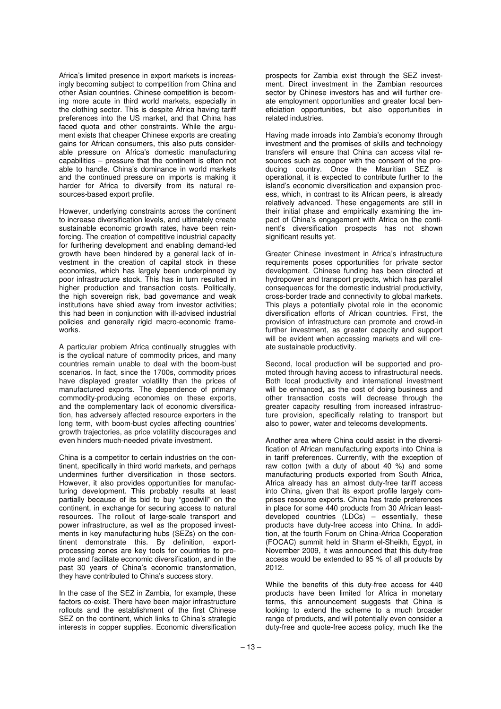Africa's limited presence in export markets is increasingly becoming subject to competition from China and other Asian countries. Chinese competition is becoming more acute in third world markets, especially in the clothing sector. This is despite Africa having tariff preferences into the US market, and that China has faced quota and other constraints. While the argument exists that cheaper Chinese exports are creating gains for African consumers, this also puts considerable pressure on Africa's domestic manufacturing capabilities – pressure that the continent is often not able to handle. China's dominance in world markets and the continued pressure on imports is making it harder for Africa to diversify from its natural resources-based export profile.

However, underlying constraints across the continent to increase diversification levels, and ultimately create sustainable economic growth rates, have been reinforcing. The creation of competitive industrial capacity for furthering development and enabling demand-led growth have been hindered by a general lack of investment in the creation of capital stock in these economies, which has largely been underpinned by poor infrastructure stock. This has in turn resulted in higher production and transaction costs. Politically, the high sovereign risk, bad governance and weak institutions have shied away from investor activities; this had been in conjunction with ill-advised industrial policies and generally rigid macro-economic frameworks.

A particular problem Africa continually struggles with is the cyclical nature of commodity prices, and many countries remain unable to deal with the boom-bust scenarios. In fact, since the 1700s, commodity prices have displayed greater volatility than the prices of manufactured exports. The dependence of primary commodity-producing economies on these exports, and the complementary lack of economic diversification, has adversely affected resource exporters in the long term, with boom-bust cycles affecting countries' growth trajectories, as price volatility discourages and even hinders much-needed private investment.

China is a competitor to certain industries on the continent, specifically in third world markets, and perhaps undermines further diversification in those sectors. However, it also provides opportunities for manufacturing development. This probably results at least partially because of its bid to buy "goodwill" on the continent, in exchange for securing access to natural resources. The rollout of large-scale transport and power infrastructure, as well as the proposed investments in key manufacturing hubs (SEZs) on the continent demonstrate this. By definition, exportprocessing zones are key tools for countries to promote and facilitate economic diversification, and in the past 30 years of China's economic transformation, they have contributed to China's success story.

In the case of the SEZ in Zambia, for example, these factors co-exist. There have been major infrastructure rollouts and the establishment of the first Chinese SEZ on the continent, which links to China's strategic interests in copper supplies. Economic diversification

prospects for Zambia exist through the SEZ investment. Direct investment in the Zambian resources sector by Chinese investors has and will further create employment opportunities and greater local beneficiation opportunities, but also opportunities in related industries.

Having made inroads into Zambia's economy through investment and the promises of skills and technology transfers will ensure that China can access vital resources such as copper with the consent of the producing country. Once the Mauritian SEZ is operational, it is expected to contribute further to the island's economic diversification and expansion process, which, in contrast to its African peers, is already relatively advanced. These engagements are still in their initial phase and empirically examining the impact of China's engagement with Africa on the continent's diversification prospects has not shown significant results yet.

Greater Chinese investment in Africa's infrastructure requirements poses opportunities for private sector development. Chinese funding has been directed at hydropower and transport projects, which has parallel consequences for the domestic industrial productivity, cross-border trade and connectivity to global markets. This plays a potentially pivotal role in the economic diversification efforts of African countries. First, the provision of infrastructure can promote and crowd-in further investment, as greater capacity and support will be evident when accessing markets and will create sustainable productivity.

Second, local production will be supported and promoted through having access to infrastructural needs. Both local productivity and international investment will be enhanced, as the cost of doing business and other transaction costs will decrease through the greater capacity resulting from increased infrastructure provision, specifically relating to transport but also to power, water and telecoms developments.

Another area where China could assist in the diversification of African manufacturing exports into China is in tariff preferences. Currently, with the exception of raw cotton (with a duty of about 40 %) and some manufacturing products exported from South Africa, Africa already has an almost duty-free tariff access into China, given that its export profile largely comprises resource exports. China has trade preferences in place for some 440 products from 30 African leastdeveloped countries (LDCs) – essentially, these products have duty-free access into China. In addition, at the fourth Forum on China-Africa Cooperation (FOCAC) summit held in Sharm el-Sheikh, Egypt, in November 2009, it was announced that this duty-free access would be extended to 95 % of all products by 2012.

While the benefits of this duty-free access for 440 products have been limited for Africa in monetary terms, this announcement suggests that China is looking to extend the scheme to a much broader range of products, and will potentially even consider a duty-free and quote-free access policy, much like the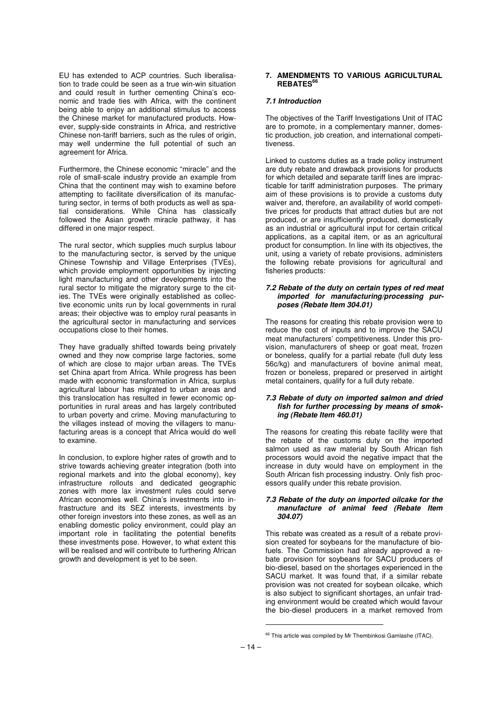EU has extended to ACP countries. Such liberalisation to trade could be seen as a true win-win situation and could result in further cementing China's economic and trade ties with Africa, with the continent being able to enjoy an additional stimulus to access the Chinese market for manufactured products. However, supply-side constraints in Africa, and restrictive Chinese non-tariff barriers, such as the rules of origin, may well undermine the full potential of such an agreement for Africa.

Furthermore, the Chinese economic "miracle" and the role of small-scale industry provide an example from China that the continent may wish to examine before attempting to facilitate diversification of its manufacturing sector, in terms of both products as well as spatial considerations. While China has classically followed the Asian growth miracle pathway, it has differed in one major respect.

The rural sector, which supplies much surplus labour to the manufacturing sector, is served by the unique Chinese Township and Village Enterprises (TVEs), which provide employment opportunities by injecting light manufacturing and other developments into the rural sector to mitigate the migratory surge to the cities. The TVEs were originally established as collective economic units run by local governments in rural areas; their objective was to employ rural peasants in the agricultural sector in manufacturing and services occupations close to their homes.

They have gradually shifted towards being privately owned and they now comprise large factories, some of which are close to major urban areas. The TVEs set China apart from Africa. While progress has been made with economic transformation in Africa, surplus agricultural labour has migrated to urban areas and this translocation has resulted in fewer economic opportunities in rural areas and has largely contributed to urban poverty and crime. Moving manufacturing to the villages instead of moving the villagers to manufacturing areas is a concept that Africa would do well to examine.

In conclusion, to explore higher rates of growth and to strive towards achieving greater integration (both into regional markets and into the global economy), key infrastructure rollouts and dedicated geographic zones with more lax investment rules could serve African economies well. China's investments into infrastructure and its SEZ interests, investments by other foreign investors into these zones, as well as an enabling domestic policy environment, could play an important role in facilitating the potential benefits these investments pose. However, to what extent this will be realised and will contribute to furthering African growth and development is yet to be seen.

#### **7. AMENDMENTS TO VARIOUS AGRICULTURAL REBATES<sup>66</sup>**

#### **7.1 Introduction**

The objectives of the Tariff Investigations Unit of ITAC are to promote, in a complementary manner, domestic production, job creation, and international competitiveness.

Linked to customs duties as a trade policy instrument are duty rebate and drawback provisions for products for which detailed and separate tariff lines are impracticable for tariff administration purposes. The primary aim of these provisions is to provide a customs duty waiver and, therefore, an availability of world competitive prices for products that attract duties but are not produced, or are insufficiently produced, domestically as an industrial or agricultural input for certain critical applications, as a capital item, or as an agricultural product for consumption. In line with its objectives, the unit, using a variety of rebate provisions, administers the following rebate provisions for agricultural and fisheries products:

#### **7.2 Rebate of the duty on certain types of red meat imported for manufacturing/processing purposes (Rebate Item 304.01)**

The reasons for creating this rebate provision were to reduce the cost of inputs and to improve the SACU meat manufacturers' competitiveness. Under this provision, manufacturers of sheep or goat meat, frozen or boneless, qualify for a partial rebate (full duty less 56c/kg) and manufacturers of bovine animal meat, frozen or boneless, prepared or preserved in airtight metal containers, qualify for a full duty rebate.

#### **7.3 Rebate of duty on imported salmon and dried fish for further processing by means of smoking (Rebate Item 460.01)**

The reasons for creating this rebate facility were that the rebate of the customs duty on the imported salmon used as raw material by South African fish processors would avoid the negative impact that the increase in duty would have on employment in the South African fish processing industry. Only fish processors qualify under this rebate provision.

#### **7.3 Rebate of the duty on imported oilcake for the manufacture of animal feed (Rebate Item 304.07)**

This rebate was created as a result of a rebate provision created for soybeans for the manufacture of biofuels. The Commission had already approved a rebate provision for soybeans for SACU producers of bio-diesel, based on the shortages experienced in the SACU market. It was found that, if a similar rebate provision was not created for soybean oilcake, which is also subject to significant shortages, an unfair trading environment would be created which would favour the bio-diesel producers in a market removed from

<sup>&</sup>lt;sup>66</sup> This article was compiled by Mr Thembinkosi Gamlashe (ITAC).